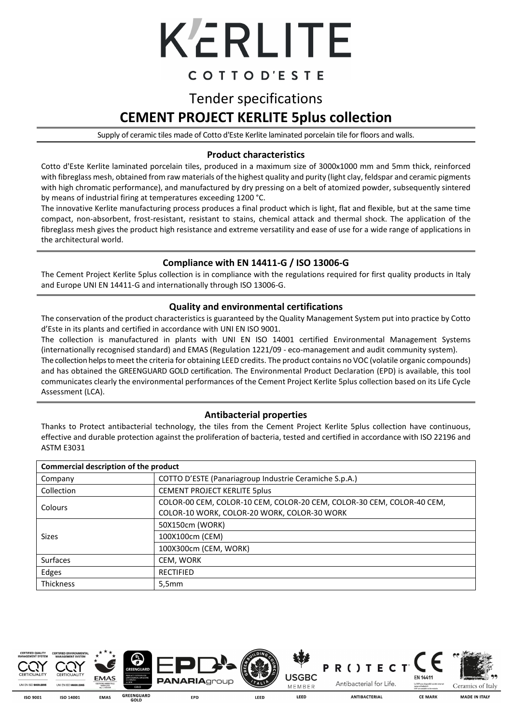

### COTTOD'ESTE

## Tender specifications **CEMENT PROJECT KERLITE 5plus collection**

Supply of ceramic tiles made of Cotto d'Este Kerlite laminated porcelain tile for floors and walls.

#### **Product characteristics**

Cotto d'Este Kerlite laminated porcelain tiles, produced in a maximum size of 3000x1000 mm and 5mm thick, reinforced with fibreglass mesh, obtained from raw materials of the highest quality and purity (light clay, feldspar and ceramic pigments with high chromatic performance), and manufactured by dry pressing on a belt of atomized powder, subsequently sintered by means of industrial firing at temperatures exceeding 1200 °C.

The innovative Kerlite manufacturing process produces a final product which is light, flat and flexible, but at the same time compact, non-absorbent, frost-resistant, resistant to stains, chemical attack and thermal shock. The application of the fibreglass mesh gives the product high resistance and extreme versatility and ease of use for a wide range of applications in the architectural world.

#### **Compliance with EN 14411-G / ISO 13006-G**

The Cement Project Kerlite 5plus collection is in compliance with the regulations required for first quality products in Italy and Europe UNI EN 14411-G and internationally through ISO 13006-G.

#### **Quality and environmental certifications**

The conservation of the product characteristics is guaranteed by the Quality Management System put into practice by Cotto d'Este in its plants and certified in accordance with UNI EN ISO 9001.

The collection is manufactured in plants with UNI EN ISO 14001 certified Environmental Management Systems (internationally recognised standard) and EMAS (Regulation 1221/09 - eco-management and audit community system).

The collection helps to meet the criteria for obtaining LEED credits. The product contains no VOC (volatile organic compounds) and has obtained the GREENGUARD GOLD certification. The Environmental Product Declaration (EPD) is available, this tool communicates clearly the environmental performances of the Cement Project Kerlite 5plus collection based on its Life Cycle Assessment (LCA).

#### **Antibacterial properties**

Thanks to Protect antibacterial technology, the tiles from the Cement Project Kerlite 5plus collection have continuous, effective and durable protection against the proliferation of bacteria, tested and certified in accordance with ISO 22196 and ASTM E3031

| Commercial description of the product |                                                                       |  |  |  |
|---------------------------------------|-----------------------------------------------------------------------|--|--|--|
| Company                               | COTTO D'ESTE (Panariagroup Industrie Ceramiche S.p.A.)                |  |  |  |
| Collection                            | <b>CEMENT PROJECT KERLITE 5plus</b>                                   |  |  |  |
| Colours                               | COLOR-00 CEM, COLOR-10 CEM, COLOR-20 CEM, COLOR-30 CEM, COLOR-40 CEM, |  |  |  |
|                                       | COLOR-10 WORK, COLOR-20 WORK, COLOR-30 WORK                           |  |  |  |
|                                       | 50X150cm (WORK)                                                       |  |  |  |
| <b>Sizes</b>                          | 100X100cm (CEM)                                                       |  |  |  |
|                                       | 100X300cm (CEM, WORK)                                                 |  |  |  |
| <b>Surfaces</b>                       | CEM, WORK                                                             |  |  |  |
| Edges                                 | <b>RECTIFIED</b>                                                      |  |  |  |
| <b>Thickness</b>                      | 5,5mm                                                                 |  |  |  |